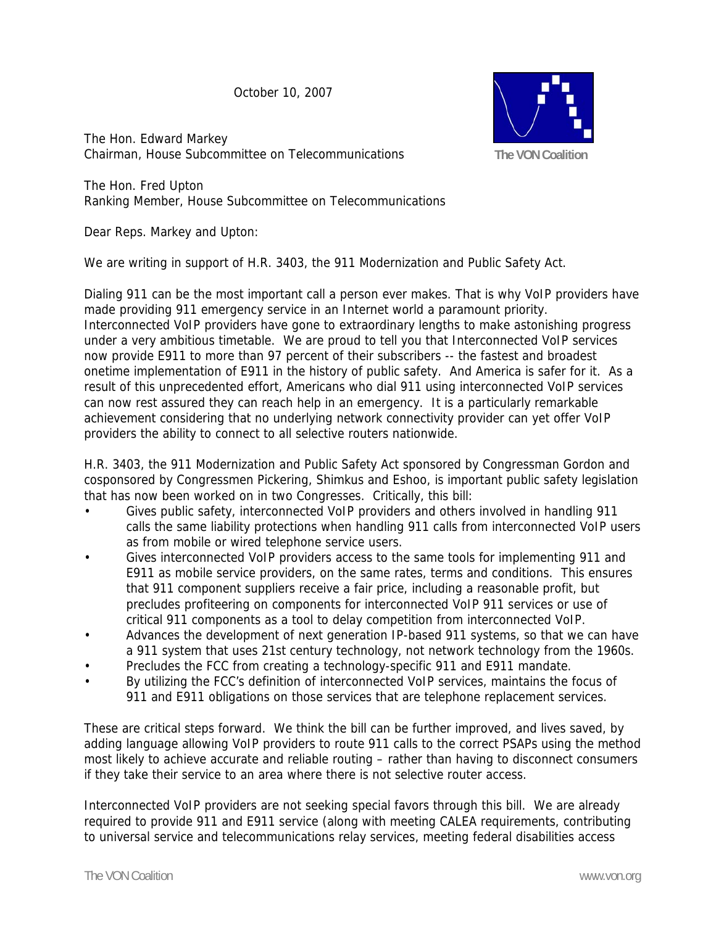October 10, 2007

The Hon. Edward Markey Chairman, House Subcommittee on Telecommunications



The Hon. Fred Upton Ranking Member, House Subcommittee on Telecommunications

Dear Reps. Markey and Upton:

We are writing in support of H.R. 3403, the 911 Modernization and Public Safety Act.

Dialing 911 can be the most important call a person ever makes. That is why VoIP providers have made providing 911 emergency service in an Internet world a paramount priority. Interconnected VoIP providers have gone to extraordinary lengths to make astonishing progress under a very ambitious timetable. We are proud to tell you that Interconnected VoIP services now provide E911 to more than 97 percent of their subscribers -- the fastest and broadest onetime implementation of E911 in the history of public safety. And America is safer for it. As a result of this unprecedented effort, Americans who dial 911 using interconnected VoIP services can now rest assured they can reach help in an emergency. It is a particularly remarkable achievement considering that no underlying network connectivity provider can yet offer VoIP providers the ability to connect to all selective routers nationwide.

H.R. 3403, the 911 Modernization and Public Safety Act sponsored by Congressman Gordon and cosponsored by Congressmen Pickering, Shimkus and Eshoo, is important public safety legislation that has now been worked on in two Congresses. Critically, this bill:

- Gives public safety, interconnected VoIP providers and others involved in handling 911 calls the same liability protections when handling 911 calls from interconnected VoIP users as from mobile or wired telephone service users.
- Gives interconnected VoIP providers access to the same tools for implementing 911 and E911 as mobile service providers, on the same rates, terms and conditions. This ensures that 911 component suppliers receive a fair price, including a reasonable profit, but precludes profiteering on components for interconnected VoIP 911 services or use of critical 911 components as a tool to delay competition from interconnected VoIP.
- Advances the development of next generation IP-based 911 systems, so that we can have a 911 system that uses 21st century technology, not network technology from the 1960s.
- Precludes the FCC from creating a technology-specific 911 and E911 mandate.
- By utilizing the FCC's definition of interconnected VoIP services, maintains the focus of 911 and E911 obligations on those services that are telephone replacement services.

These are critical steps forward. We think the bill can be further improved, and lives saved, by adding language allowing VoIP providers to route 911 calls to the correct PSAPs using the method most likely to achieve accurate and reliable routing – rather than having to disconnect consumers if they take their service to an area where there is not selective router access.

Interconnected VoIP providers are not seeking special favors through this bill. We are already required to provide 911 and E911 service (along with meeting CALEA requirements, contributing to universal service and telecommunications relay services, meeting federal disabilities access